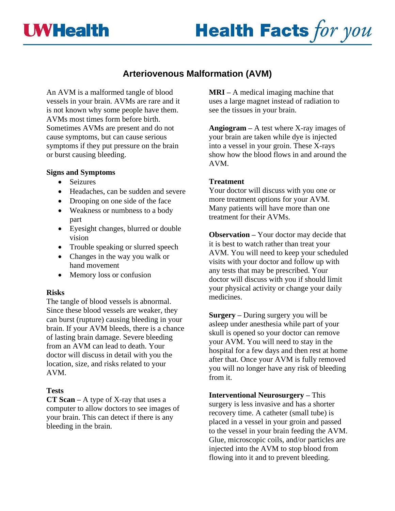# **UWHealth**



## **Arteriovenous Malformation (AVM)**

An AVM is a malformed tangle of blood vessels in your brain. AVMs are rare and it is not known why some people have them. AVMs most times form before birth. Sometimes AVMs are present and do not cause symptoms, but can cause serious symptoms if they put pressure on the brain or burst causing bleeding.

#### **Signs and Symptoms**

- Seizures
- Headaches, can be sudden and severe
- Drooping on one side of the face
- Weakness or numbness to a body part
- Eyesight changes, blurred or double vision
- Trouble speaking or slurred speech
- Changes in the way you walk or hand movement
- Memory loss or confusion

### **Risks**

The tangle of blood vessels is abnormal. Since these blood vessels are weaker, they can burst (rupture) causing bleeding in your brain. If your AVM bleeds, there is a chance of lasting brain damage. Severe bleeding from an AVM can lead to death. Your doctor will discuss in detail with you the location, size, and risks related to your AVM.

### **Tests**

**CT Scan –** A type of X-ray that uses a computer to allow doctors to see images of your brain. This can detect if there is any bleeding in the brain.

**MRI –** A medical imaging machine that uses a large magnet instead of radiation to see the tissues in your brain.

**Angiogram –** A test where X-ray images of your brain are taken while dye is injected into a vessel in your groin. These X-rays show how the blood flows in and around the AVM.

### **Treatment**

Your doctor will discuss with you one or more treatment options for your AVM. Many patients will have more than one treatment for their AVMs.

**Observation –** Your doctor may decide that it is best to watch rather than treat your AVM. You will need to keep your scheduled visits with your doctor and follow up with any tests that may be prescribed. Your doctor will discuss with you if should limit your physical activity or change your daily medicines.

**Surgery –** During surgery you will be asleep under anesthesia while part of your skull is opened so your doctor can remove your AVM. You will need to stay in the hospital for a few days and then rest at home after that. Once your AVM is fully removed you will no longer have any risk of bleeding from it.

**Interventional Neurosurgery –** This surgery is less invasive and has a shorter recovery time. A catheter (small tube) is placed in a vessel in your groin and passed to the vessel in your brain feeding the AVM. Glue, microscopic coils, and/or particles are injected into the AVM to stop blood from flowing into it and to prevent bleeding.